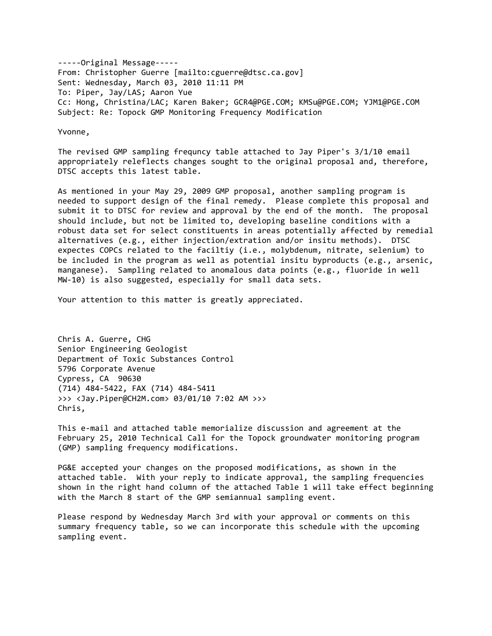‐‐‐‐‐Original Message‐‐‐‐‐ From: Christopher Guerre [mailto:cguerre@dtsc.ca.gov] Sent: Wednesday, March 03, 2010 11:11 PM To: Piper, Jay/LAS; Aaron Yue Cc: Hong, Christina/LAC; Karen Baker; GCR4@PGE.COM; KMSu@PGE.COM; YJM1@PGE.COM Subject: Re: Topock GMP Monitoring Frequency Modification

Yvonne,

The revised GMP sampling frequncy table attached to Jay Piper's 3/1/10 email appropriately releflects changes sought to the original proposal and, therefore, DTSC accepts this latest table.

As mentioned in your May 29, 2009 GMP proposal, another sampling program is needed to support design of the final remedy. Please complete this proposal and submit it to DTSC for review and approval by the end of the month. The proposal should include, but not be limited to, developing baseline conditions with a robust data set for select constituents in areas potentially affected by remedial alternatives (e.g., either injection/extration and/or insitu methods). DTSC expectes COPCs related to the faciltiy (i.e., molybdenum, nitrate, selenium) to be included in the program as well as potential insitu byproducts (e.g., arsenic, manganese). Sampling related to anomalous data points (e.g., fluoride in well MW-10) is also suggested, especially for small data sets.

Your attention to this matter is greatly appreciated.

Chris A. Guerre, CHG Senior Engineering Geologist Department of Toxic Substances Control 5796 Corporate Avenue Cypress, CA 90630 (714) 484‐5422, FAX (714) 484‐5411 >>> <Jay.Piper@CH2M.com> 03/01/10 7:02 AM >>> Chris,

This e‐mail and attached table memorialize discussion and agreement at the February 25, 2010 Technical Call for the Topock groundwater monitoring program (GMP) sampling frequency modifications.

PG&E accepted your changes on the proposed modifications, as shown in the attached table. With your reply to indicate approval, the sampling frequencies shown in the right hand column of the attached Table 1 will take effect beginning with the March 8 start of the GMP semiannual sampling event.

Please respond by Wednesday March 3rd with your approval or comments on this summary frequency table, so we can incorporate this schedule with the upcoming sampling event.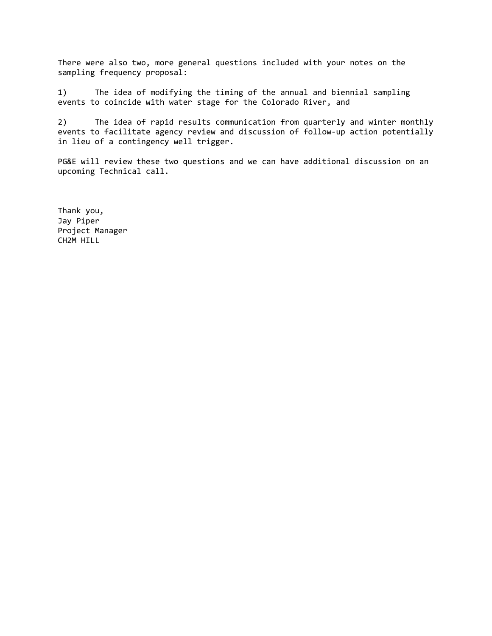There were also two, more general questions included with your notes on the sampling frequency proposal:

1) The idea of modifying the timing of the annual and biennial sampling events to coincide with water stage for the Colorado River, and

2) The idea of rapid results communication from quarterly and winter monthly events to facilitate agency review and discussion of follow‐up action potentially in lieu of a contingency well trigger.

PG&E will review these two questions and we can have additional discussion on an upcoming Technical call.

Thank you, Jay Piper Project Manager CH2M HILL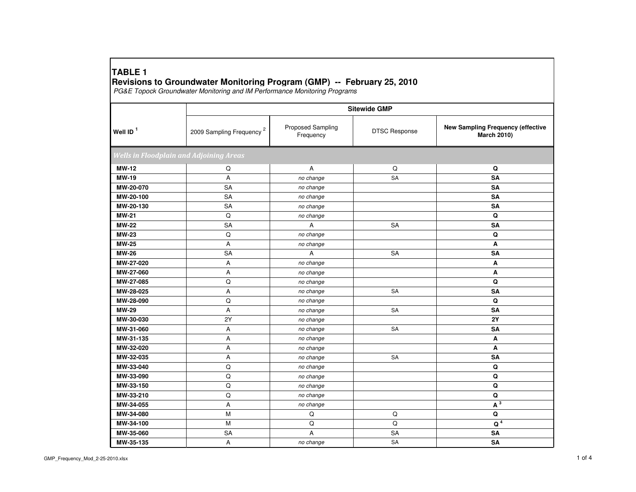## **TABLE 1Revisions to Groundwater Monitoring Program (GMP) -- February 25, 2010** PG&E Topock Groundwater Monitoring and IM Performance Monitoring Programs

|              | <b>Sitewide GMP</b>                            |                                |                      |                                                                |  |  |
|--------------|------------------------------------------------|--------------------------------|----------------------|----------------------------------------------------------------|--|--|
| Well ID $1$  | 2009 Sampling Frequency <sup>2</sup>           | Proposed Sampling<br>Frequency | <b>DTSC Response</b> | <b>New Sampling Frequency (effective</b><br><b>March 2010)</b> |  |  |
|              | <b>Wells in Floodplain and Adjoining Areas</b> |                                |                      |                                                                |  |  |
| <b>MW-12</b> | Q                                              | Α                              | Q                    | Q                                                              |  |  |
| <b>MW-19</b> | Α                                              | no change                      | <b>SA</b>            | SA                                                             |  |  |
| MW-20-070    | SA                                             | no change                      |                      | SA                                                             |  |  |
| MW-20-100    | SA                                             | no change                      |                      | <b>SA</b>                                                      |  |  |
| MW-20-130    | <b>SA</b>                                      | no change                      |                      | <b>SA</b>                                                      |  |  |
| <b>MW-21</b> | $\hbox{\tt Q}$                                 | no change                      |                      | Q                                                              |  |  |
| <b>MW-22</b> | <b>SA</b>                                      | Α                              | <b>SA</b>            | SA                                                             |  |  |
| <b>MW-23</b> | Q                                              | no change                      |                      | Q                                                              |  |  |
| <b>MW-25</b> | Α                                              | no change                      |                      | A                                                              |  |  |
| <b>MW-26</b> | SA                                             | Α                              | SA                   | SA                                                             |  |  |
| MW-27-020    | Α                                              | no change                      |                      | Α                                                              |  |  |
| MW-27-060    | Α                                              | no change                      |                      | Α                                                              |  |  |
| MW-27-085    | Q                                              | no change                      |                      | Q                                                              |  |  |
| MW-28-025    | Α                                              | no change                      | <b>SA</b>            | <b>SA</b>                                                      |  |  |
| MW-28-090    | Q                                              | no change                      |                      | Q                                                              |  |  |
| <b>MW-29</b> | A                                              | no change                      | SA                   | <b>SA</b>                                                      |  |  |
| MW-30-030    | 2Y                                             | no change                      |                      | 2Y                                                             |  |  |
| MW-31-060    | Α                                              | no change                      | <b>SA</b>            | <b>SA</b>                                                      |  |  |
| MW-31-135    | Α                                              | no change                      |                      | A                                                              |  |  |
| MW-32-020    | Α                                              | no change                      |                      | Α                                                              |  |  |
| MW-32-035    | Α                                              | no change                      | SA                   | SA                                                             |  |  |
| MW-33-040    | Q                                              | no change                      |                      | Q                                                              |  |  |
| MW-33-090    | $\hbox{\tt Q}$                                 | no change                      |                      | Q                                                              |  |  |
| MW-33-150    | $\hbox{\tt Q}$                                 | no change                      |                      | Q                                                              |  |  |
| MW-33-210    | $\mathsf Q$                                    | no change                      |                      | Q                                                              |  |  |
| MW-34-055    | A                                              | no change                      |                      | $A^3$                                                          |  |  |
| MW-34-080    | М                                              | Q                              | Q                    | Q                                                              |  |  |
| MW-34-100    | M                                              | $\mathsf Q$                    | Q                    | Q <sup>4</sup>                                                 |  |  |
| MW-35-060    | SA                                             | A                              | SA                   | <b>SA</b>                                                      |  |  |
| MW-35-135    | Α                                              | no change                      | SA                   | SA                                                             |  |  |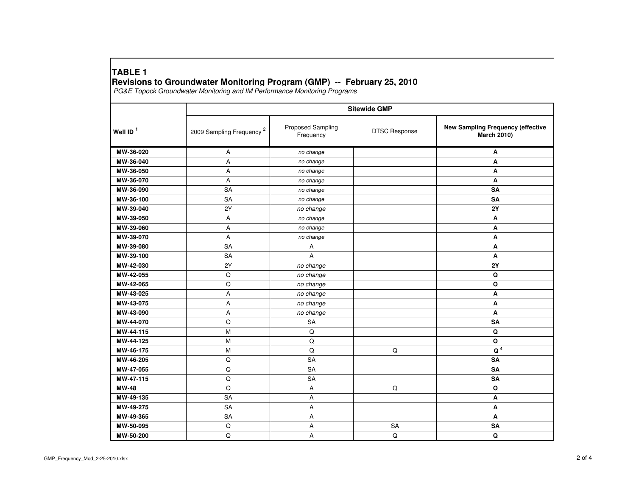## **TABLE 1Revisions to Groundwater Monitoring Program (GMP) -- February 25, 2010** PG&E Topock Groundwater Monitoring and IM Performance Monitoring Programs

|                      | <b>Sitewide GMP</b>                  |                                |                      |                                                         |  |
|----------------------|--------------------------------------|--------------------------------|----------------------|---------------------------------------------------------|--|
| Well ID <sup>1</sup> | 2009 Sampling Frequency <sup>2</sup> | Proposed Sampling<br>Frequency | <b>DTSC Response</b> | New Sampling Frequency (effective<br><b>March 2010)</b> |  |
| MW-36-020            | Α                                    | no change                      |                      | Α                                                       |  |
| MW-36-040            | Α                                    | no change                      |                      | А                                                       |  |
| MW-36-050            | A                                    | no change                      |                      | A                                                       |  |
| MW-36-070            | A                                    | no change                      |                      | Α                                                       |  |
| MW-36-090            | SA                                   | no change                      |                      | SA                                                      |  |
| MW-36-100            | SA                                   | no change                      |                      | SA                                                      |  |
| MW-39-040            | 2Y                                   | no change                      |                      | <b>2Y</b>                                               |  |
| MW-39-050            | A                                    | no change                      |                      | Α                                                       |  |
| MW-39-060            | Α                                    | no change                      |                      | Α                                                       |  |
| MW-39-070            | Α                                    | no change                      |                      | А                                                       |  |
| MW-39-080            | SA                                   | Α                              |                      | Α                                                       |  |
| MW-39-100            | <b>SA</b>                            | A                              |                      | A                                                       |  |
| MW-42-030            | 2Y                                   | no change                      |                      | <b>2Y</b>                                               |  |
| MW-42-055            | Q                                    | no change                      |                      | Q                                                       |  |
| MW-42-065            | $\hbox{\tt Q}$                       | no change                      |                      | Q                                                       |  |
| MW-43-025            | Α                                    | no change                      |                      | A                                                       |  |
| MW-43-075            | Α                                    | no change                      |                      | A                                                       |  |
| MW-43-090            | Α                                    | no change                      |                      | A                                                       |  |
| MW-44-070            | $\mathsf Q$                          | <b>SA</b>                      |                      | <b>SA</b>                                               |  |
| MW-44-115            | M                                    | Q                              |                      | Q                                                       |  |
| MW-44-125            | M                                    | $\mathsf Q$                    |                      | $\mathbf Q$                                             |  |
| MW-46-175            | M                                    | $\mathsf Q$                    | $\mathsf Q$          | Q <sup>4</sup>                                          |  |
| MW-46-205            | $\mathsf Q$                          | SA                             |                      | SA                                                      |  |
| MW-47-055            | Q                                    | <b>SA</b>                      |                      | <b>SA</b>                                               |  |
| MW-47-115            | Q                                    | SA                             |                      | SA                                                      |  |
| <b>MW-48</b>         | Q                                    | А                              | $\mathsf Q$          | Q                                                       |  |
| MW-49-135            | <b>SA</b>                            | Α                              |                      | A                                                       |  |
| MW-49-275            | <b>SA</b>                            | Α                              |                      | A                                                       |  |
| MW-49-365            | <b>SA</b>                            | А                              |                      | Α                                                       |  |
| MW-50-095            | Q                                    | А                              | <b>SA</b>            | <b>SA</b>                                               |  |
| MW-50-200            | $\mathsf Q$                          | A                              | Q                    | Q                                                       |  |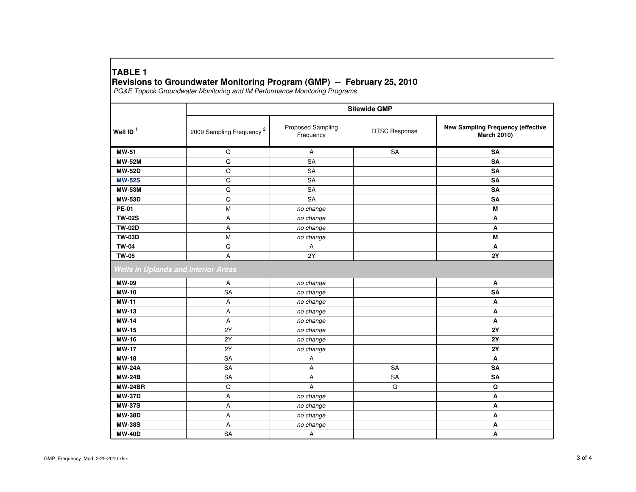## **TABLE 1Revisions to Groundwater Monitoring Program (GMP) -- February 25, 2010** PG&E Topock Groundwater Monitoring and IM Performance Monitoring Programs

|                                            | <b>Sitewide GMP</b>                  |                                |                      |                                                         |  |
|--------------------------------------------|--------------------------------------|--------------------------------|----------------------|---------------------------------------------------------|--|
| Well ID <sup>1</sup>                       | 2009 Sampling Frequency <sup>2</sup> | Proposed Sampling<br>Frequency | <b>DTSC Response</b> | New Sampling Frequency (effective<br><b>March 2010)</b> |  |
| <b>MW-51</b>                               | Q                                    | Α                              | SA                   | <b>SA</b>                                               |  |
| <b>MW-52M</b>                              | Q                                    | SA                             |                      | SA                                                      |  |
| <b>MW-52D</b>                              | Q                                    | SA                             |                      | SA                                                      |  |
| <b>MW-52S</b>                              | Q                                    | <b>SA</b>                      |                      | <b>SA</b>                                               |  |
| <b>MW-53M</b>                              | Q                                    | <b>SA</b>                      |                      | SA                                                      |  |
| <b>MW-53D</b>                              | Q                                    | <b>SA</b>                      |                      | <b>SA</b>                                               |  |
| <b>PE-01</b>                               | M                                    | no change                      |                      | M                                                       |  |
| <b>TW-02S</b>                              | А                                    | no change                      |                      | Α                                                       |  |
| <b>TW-02D</b>                              | A                                    | no change                      |                      | A                                                       |  |
| <b>TW-03D</b>                              | M                                    | no change                      |                      | M                                                       |  |
| <b>TW-04</b>                               | Q                                    | Α                              |                      | Α                                                       |  |
| <b>TW-05</b>                               | A                                    | 2Y                             |                      | <b>2Y</b>                                               |  |
| <b>Wells in Uplands and Interior Areas</b> |                                      |                                |                      |                                                         |  |
| <b>MW-09</b>                               | A                                    | no change                      |                      | Α                                                       |  |
| <b>MW-10</b>                               | SA                                   | no change                      |                      | SA                                                      |  |
| <b>MW-11</b>                               | Α                                    | no change                      |                      | Α                                                       |  |
| <b>MW-13</b>                               | Α                                    | no change                      |                      | Α                                                       |  |
| <b>MW-14</b>                               | Α                                    | no change                      |                      | A                                                       |  |
| <b>MW-15</b>                               | 2Y                                   | no change                      |                      | <b>2Y</b>                                               |  |
| <b>MW-16</b>                               | 2Y                                   | no change                      |                      | <b>2Y</b>                                               |  |
| <b>MW-17</b>                               | 2Y                                   | no change                      |                      | <b>2Y</b>                                               |  |
| <b>MW-18</b>                               | <b>SA</b>                            | Α                              |                      | A                                                       |  |
| <b>MW-24A</b>                              | <b>SA</b>                            | Α                              | SA                   | SA                                                      |  |
| <b>MW-24B</b>                              | SA                                   | А                              | SA                   | SA                                                      |  |
| <b>MW-24BR</b>                             | Q                                    | А                              | $\mathsf Q$          | Q                                                       |  |
| <b>MW-37D</b>                              | А                                    | no change                      |                      | A                                                       |  |
| <b>MW-37S</b>                              | А                                    | no change                      |                      | A                                                       |  |
| <b>MW-38D</b>                              | Α                                    | no change                      |                      | Α                                                       |  |
| <b>MW-38S</b>                              | Α                                    | no change                      |                      | Α                                                       |  |
| <b>MW-40D</b>                              | SA                                   | Α                              |                      | Α                                                       |  |